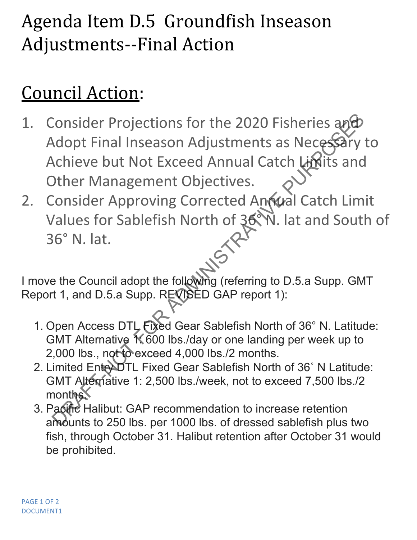## Agenda Item D.5 Groundfish Inseason Adjustments--Final Action

## Council Action:

- 1. Consider Projections for the 2020 Fisheries and Adopt Final Inseason Adjustments as Necessary to Achieve but Not Exceed Annual Catch Limits and Other Management Objectives. Consider Projections for the 2020 Fisheries and<br>
Adopt Final Inseason Adjustments as Necessary<br>
Achieve but Not Exceed Annual Catch Limits and<br>
Other Management Objectives.<br>
Consider Approving Corrected Antwal Catch Lim<br>
V
- 2. Consider Approving Corrected Annual Catch Limit Values for Sablefish North of 36° N. lat and South of 36° N. lat.

I move the Council adopt the following (referring to D.5.a Supp. GMT Report 1, and D.5.a Supp. REVISED GAP report 1):

- 1. Open Access DTL Fixed Gear Sablefish North of 36° N. Latitude: GMT Alternative 1: 600 lbs./day or one landing per week up to 2,000 lbs., not to exceed 4,000 lbs./2 months.
- 2. Limited EntroDTL Fixed Gear Sablefish North of 36° N Latitude: GMT Alternative 1: 2,500 lbs./week, not to exceed 7,500 lbs./2 months.
- 3. Pacific Halibut: GAP recommendation to increase retention amounts to 250 lbs. per 1000 lbs. of dressed sablefish plus two fish, through October 31. Halibut retention after October 31 would be prohibited.